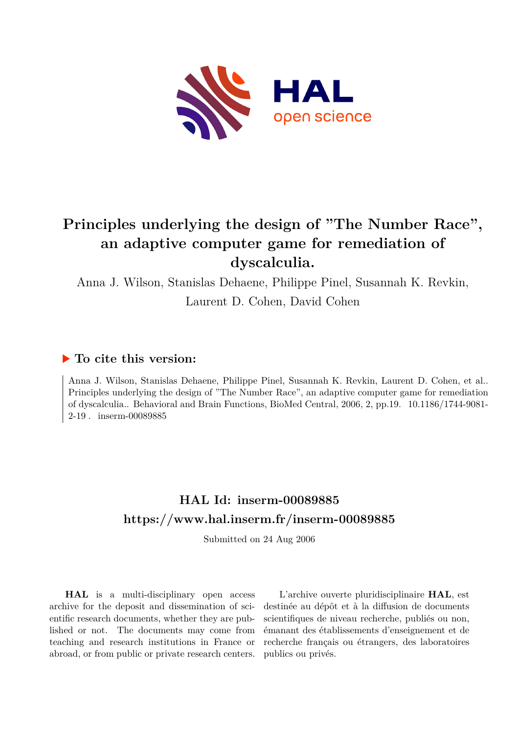

# **Principles underlying the design of "The Number Race", an adaptive computer game for remediation of dyscalculia.**

Anna J. Wilson, Stanislas Dehaene, Philippe Pinel, Susannah K. Revkin,

Laurent D. Cohen, David Cohen

# **To cite this version:**

Anna J. Wilson, Stanislas Dehaene, Philippe Pinel, Susannah K. Revkin, Laurent D. Cohen, et al.. Principles underlying the design of "The Number Race", an adaptive computer game for remediation of dyscalculia.. Behavioral and Brain Functions, BioMed Central, 2006, 2, pp.19. 10.1186/1744-9081-2-19 . inserm-00089885

# **HAL Id: inserm-00089885 <https://www.hal.inserm.fr/inserm-00089885>**

Submitted on 24 Aug 2006

**HAL** is a multi-disciplinary open access archive for the deposit and dissemination of scientific research documents, whether they are published or not. The documents may come from teaching and research institutions in France or abroad, or from public or private research centers.

L'archive ouverte pluridisciplinaire **HAL**, est destinée au dépôt et à la diffusion de documents scientifiques de niveau recherche, publiés ou non, émanant des établissements d'enseignement et de recherche français ou étrangers, des laboratoires publics ou privés.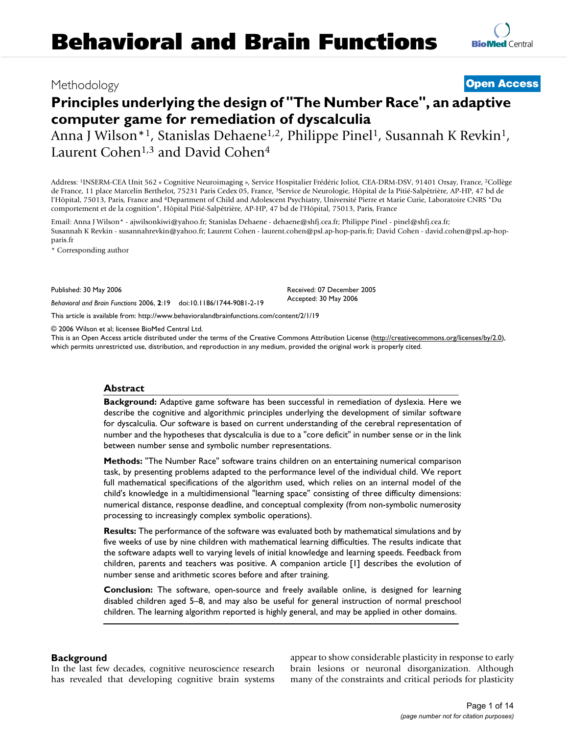# Methodology **[Open Access](http://www.biomedcentral.com/info/about/charter/) Principles underlying the design of "The Number Race", an adaptive**

**RioMed Central** 

**computer game for remediation of dyscalculia** Anna J Wilson\*<sup>1</sup>, Stanislas Dehaene1,2, Philippe Pinel<sup>1</sup>, Susannah K Revkin<sup>1</sup>, Laurent Cohen<sup>1,3</sup> and David Cohen<sup>4</sup>

Address: <sup>1</sup>INSERM-CEA Unit 562 « Cognitive Neuroimaging », Service Hospitalier Frédéric Joliot, CEA-DRM-DSV, 91401 Orsay, France, <sup>2</sup>Collège de France, 11 place Marcelin Berthelot, 75231 Paris Cedex 05, France, <sup>3</sup>Service de Neurologie, Hôpital de la Pitié-Salpêtrière, AP-HP, 47 bd de l'Hôpital, 75013, Paris, France and <sup>4</sup>Department of Child and Adolescent Psychiatry, Université Pierre et Marie Curie, Laboratoire CNRS "Du comportement et de la cognition", Hôpital Pitié-Salpêtrière, AP-HP, 47 bd de l'Hôpital, 75013, Paris, France

Email: Anna J Wilson\* - ajwilsonkiwi@yahoo.fr; Stanislas Dehaene - dehaene@shfj.cea.fr; Philippe Pinel - pinel@shfj.cea.fr; Susannah K Revkin - susannahrevkin@yahoo.fr; Laurent Cohen - laurent.cohen@psl.ap-hop-paris.fr; David Cohen - david.cohen@psl.ap-hopparis.fr

> Received: 07 December 2005 Accepted: 30 May 2006

\* Corresponding author

Published: 30 May 2006

*Behavioral and Brain Functions* 2006, **2**:19 doi:10.1186/1744-9081-2-19

[This article is available from: http://www.behavioralandbrainfunctions.com/content/2/1/19](http://www.behavioralandbrainfunctions.com/content/2/1/19)

© 2006 Wilson et al; licensee BioMed Central Ltd.

This is an Open Access article distributed under the terms of the Creative Commons Attribution License [\(http://creativecommons.org/licenses/by/2.0\)](http://creativecommons.org/licenses/by/2.0), which permits unrestricted use, distribution, and reproduction in any medium, provided the original work is properly cited.

# **Abstract**

**Background:** Adaptive game software has been successful in remediation of dyslexia. Here we describe the cognitive and algorithmic principles underlying the development of similar software for dyscalculia. Our software is based on current understanding of the cerebral representation of number and the hypotheses that dyscalculia is due to a "core deficit" in number sense or in the link between number sense and symbolic number representations.

**Methods:** "The Number Race" software trains children on an entertaining numerical comparison task, by presenting problems adapted to the performance level of the individual child. We report full mathematical specifications of the algorithm used, which relies on an internal model of the child's knowledge in a multidimensional "learning space" consisting of three difficulty dimensions: numerical distance, response deadline, and conceptual complexity (from non-symbolic numerosity processing to increasingly complex symbolic operations).

**Results:** The performance of the software was evaluated both by mathematical simulations and by five weeks of use by nine children with mathematical learning difficulties. The results indicate that the software adapts well to varying levels of initial knowledge and learning speeds. Feedback from children, parents and teachers was positive. A companion article [1] describes the evolution of number sense and arithmetic scores before and after training.

**Conclusion:** The software, open-source and freely available online, is designed for learning disabled children aged 5–8, and may also be useful for general instruction of normal preschool children. The learning algorithm reported is highly general, and may be applied in other domains.

# **Background**

In the last few decades, cognitive neuroscience research has revealed that developing cognitive brain systems appear to show considerable plasticity in response to early brain lesions or neuronal disorganization. Although many of the constraints and critical periods for plasticity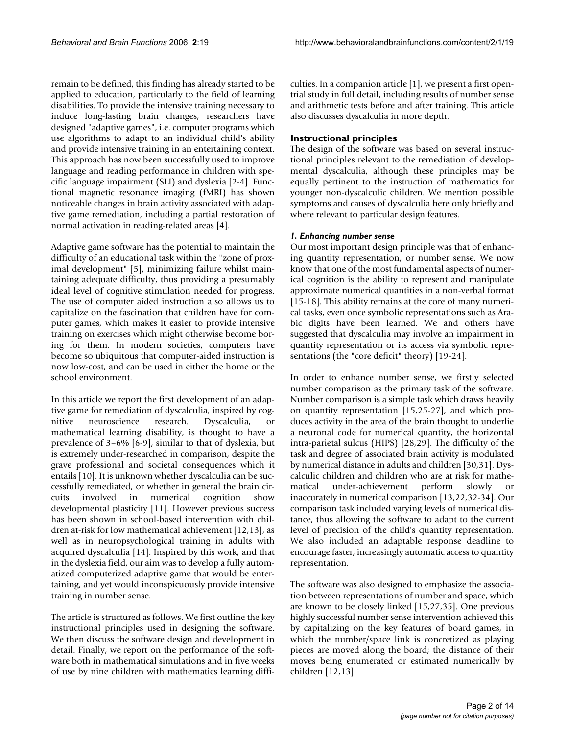remain to be defined, this finding has already started to be applied to education, particularly to the field of learning disabilities. To provide the intensive training necessary to induce long-lasting brain changes, researchers have designed "adaptive games", i.e. computer programs which use algorithms to adapt to an individual child's ability and provide intensive training in an entertaining context. This approach has now been successfully used to improve language and reading performance in children with specific language impairment (SLI) and dyslexia [2-4]. Functional magnetic resonance imaging (fMRI) has shown noticeable changes in brain activity associated with adaptive game remediation, including a partial restoration of normal activation in reading-related areas [4].

Adaptive game software has the potential to maintain the difficulty of an educational task within the "zone of proximal development" [5], minimizing failure whilst maintaining adequate difficulty, thus providing a presumably ideal level of cognitive stimulation needed for progress. The use of computer aided instruction also allows us to capitalize on the fascination that children have for computer games, which makes it easier to provide intensive training on exercises which might otherwise become boring for them. In modern societies, computers have become so ubiquitous that computer-aided instruction is now low-cost, and can be used in either the home or the school environment.

In this article we report the first development of an adaptive game for remediation of dyscalculia, inspired by cognitive neuroscience research. Dyscalculia, or mathematical learning disability, is thought to have a prevalence of 3–6% [6-9], similar to that of dyslexia, but is extremely under-researched in comparison, despite the grave professional and societal consequences which it entails [10]. It is unknown whether dyscalculia can be successfully remediated, or whether in general the brain circuits involved in numerical cognition show developmental plasticity [11]. However previous success has been shown in school-based intervention with children at-risk for low mathematical achievement [12,13], as well as in neuropsychological training in adults with acquired dyscalculia [14]. Inspired by this work, and that in the dyslexia field, our aim was to develop a fully automatized computerized adaptive game that would be entertaining, and yet would inconspicuously provide intensive training in number sense.

The article is structured as follows. We first outline the key instructional principles used in designing the software. We then discuss the software design and development in detail. Finally, we report on the performance of the software both in mathematical simulations and in five weeks of use by nine children with mathematics learning difficulties. In a companion article [1], we present a first opentrial study in full detail, including results of number sense and arithmetic tests before and after training. This article also discusses dyscalculia in more depth.

# **Instructional principles**

The design of the software was based on several instructional principles relevant to the remediation of developmental dyscalculia, although these principles may be equally pertinent to the instruction of mathematics for younger non-dyscalculic children. We mention possible symptoms and causes of dyscalculia here only briefly and where relevant to particular design features.

# *1. Enhancing number sense*

Our most important design principle was that of enhancing quantity representation, or number sense. We now know that one of the most fundamental aspects of numerical cognition is the ability to represent and manipulate approximate numerical quantities in a non-verbal format [15-18]. This ability remains at the core of many numerical tasks, even once symbolic representations such as Arabic digits have been learned. We and others have suggested that dyscalculia may involve an impairment in quantity representation or its access via symbolic representations (the "core deficit" theory) [19-24].

In order to enhance number sense, we firstly selected number comparison as the primary task of the software. Number comparison is a simple task which draws heavily on quantity representation [15,25-27], and which produces activity in the area of the brain thought to underlie a neuronal code for numerical quantity, the horizontal intra-parietal sulcus (HIPS) [28,29]. The difficulty of the task and degree of associated brain activity is modulated by numerical distance in adults and children [30,31]. Dyscalculic children and children who are at risk for mathematical under-achievement perform slowly or inaccurately in numerical comparison [13,22,32-34]. Our comparison task included varying levels of numerical distance, thus allowing the software to adapt to the current level of precision of the child's quantity representation. We also included an adaptable response deadline to encourage faster, increasingly automatic access to quantity representation.

The software was also designed to emphasize the association between representations of number and space, which are known to be closely linked [15,27,35]. One previous highly successful number sense intervention achieved this by capitalizing on the key features of board games, in which the number/space link is concretized as playing pieces are moved along the board; the distance of their moves being enumerated or estimated numerically by children [12,13].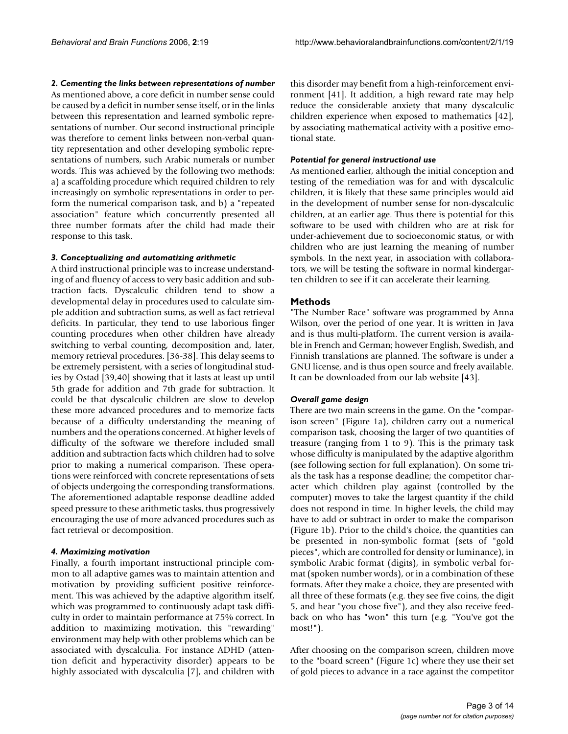*2. Cementing the links between representations of number* As mentioned above, a core deficit in number sense could be caused by a deficit in number sense itself, or in the links between this representation and learned symbolic representations of number. Our second instructional principle was therefore to cement links between non-verbal quantity representation and other developing symbolic representations of numbers, such Arabic numerals or number words. This was achieved by the following two methods: a) a scaffolding procedure which required children to rely increasingly on symbolic representations in order to perform the numerical comparison task, and b) a "repeated association" feature which concurrently presented all three number formats after the child had made their response to this task.

#### *3. Conceptualizing and automatizing arithmetic*

A third instructional principle was to increase understanding of and fluency of access to very basic addition and subtraction facts. Dyscalculic children tend to show a developmental delay in procedures used to calculate simple addition and subtraction sums, as well as fact retrieval deficits. In particular, they tend to use laborious finger counting procedures when other children have already switching to verbal counting, decomposition and, later, memory retrieval procedures. [36-38]. This delay seems to be extremely persistent, with a series of longitudinal studies by Ostad [39,40] showing that it lasts at least up until 5th grade for addition and 7th grade for subtraction. It could be that dyscalculic children are slow to develop these more advanced procedures and to memorize facts because of a difficulty understanding the meaning of numbers and the operations concerned. At higher levels of difficulty of the software we therefore included small addition and subtraction facts which children had to solve prior to making a numerical comparison. These operations were reinforced with concrete representations of sets of objects undergoing the corresponding transformations. The aforementioned adaptable response deadline added speed pressure to these arithmetic tasks, thus progressively encouraging the use of more advanced procedures such as fact retrieval or decomposition.

#### *4. Maximizing motivation*

Finally, a fourth important instructional principle common to all adaptive games was to maintain attention and motivation by providing sufficient positive reinforcement. This was achieved by the adaptive algorithm itself, which was programmed to continuously adapt task difficulty in order to maintain performance at 75% correct. In addition to maximizing motivation, this "rewarding" environment may help with other problems which can be associated with dyscalculia. For instance ADHD (attention deficit and hyperactivity disorder) appears to be highly associated with dyscalculia [7], and children with

this disorder may benefit from a high-reinforcement environment [41]. It addition, a high reward rate may help reduce the considerable anxiety that many dyscalculic children experience when exposed to mathematics [42], by associating mathematical activity with a positive emotional state.

## *Potential for general instructional use*

As mentioned earlier, although the initial conception and testing of the remediation was for and with dyscalculic children, it is likely that these same principles would aid in the development of number sense for non-dyscalculic children, at an earlier age. Thus there is potential for this software to be used with children who are at risk for under-achievement due to socioeconomic status, or with children who are just learning the meaning of number symbols. In the next year, in association with collaborators, we will be testing the software in normal kindergarten children to see if it can accelerate their learning.

## **Methods**

"The Number Race" software was programmed by Anna Wilson, over the period of one year. It is written in Java and is thus multi-platform. The current version is available in French and German; however English, Swedish, and Finnish translations are planned. The software is under a GNU license, and is thus open source and freely available. It can be downloaded from our lab website [43].

#### *Overall game design*

There are two main screens in the game. On the "comparison screen" (Figure 1a), children carry out a numerical comparison task, choosing the larger of two quantities of treasure (ranging from 1 to 9). This is the primary task whose difficulty is manipulated by the adaptive algorithm (see following section for full explanation). On some trials the task has a response deadline; the competitor character which children play against (controlled by the computer) moves to take the largest quantity if the child does not respond in time. In higher levels, the child may have to add or subtract in order to make the comparison (Figure 1b). Prior to the child's choice, the quantities can be presented in non-symbolic format (sets of "gold pieces", which are controlled for density or luminance), in symbolic Arabic format (digits), in symbolic verbal format (spoken number words), or in a combination of these formats. After they make a choice, they are presented with all three of these formats (e.g. they see five coins, the digit 5, and hear "you chose five"), and they also receive feedback on who has "won" this turn (e.g. "You've got the most!").

After choosing on the comparison screen, children move to the "board screen" (Figure 1c) where they use their set of gold pieces to advance in a race against the competitor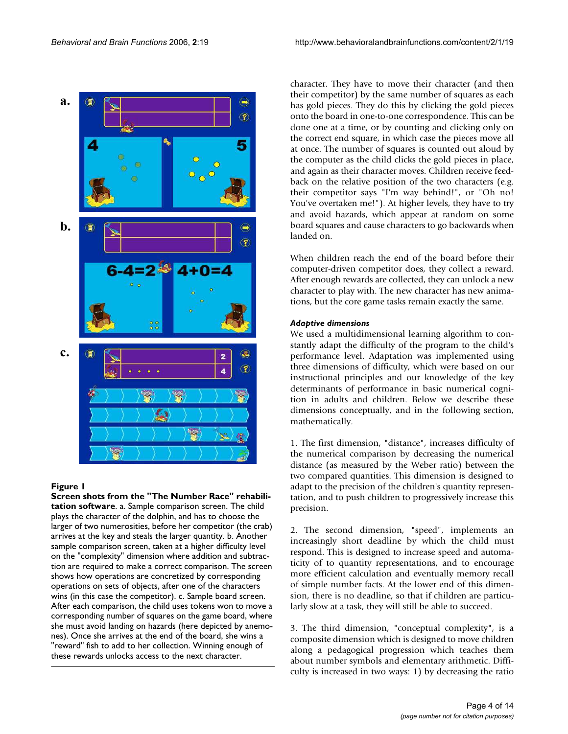

# **Figure 1**

**Screen shots from the "The Number Race" rehabilitation software**. a. Sample comparison screen. The child plays the character of the dolphin, and has to choose the larger of two numerosities, before her competitor (the crab) arrives at the key and steals the larger quantity. b. Another sample comparison screen, taken at a higher difficulty level on the "complexity" dimension where addition and subtraction are required to make a correct comparison. The screen shows how operations are concretized by corresponding operations on sets of objects, after one of the characters wins (in this case the competitor). c. Sample board screen. After each comparison, the child uses tokens won to move a corresponding number of squares on the game board, where she must avoid landing on hazards (here depicted by anemones). Once she arrives at the end of the board, she wins a "reward" fish to add to her collection. Winning enough of these rewards unlocks access to the next character.

character. They have to move their character (and then their competitor) by the same number of squares as each has gold pieces. They do this by clicking the gold pieces onto the board in one-to-one correspondence. This can be done one at a time, or by counting and clicking only on the correct end square, in which case the pieces move all at once. The number of squares is counted out aloud by the computer as the child clicks the gold pieces in place, and again as their character moves. Children receive feedback on the relative position of the two characters (e.g. their competitor says "I'm way behind!", or "Oh no! You've overtaken me!"). At higher levels, they have to try and avoid hazards, which appear at random on some board squares and cause characters to go backwards when landed on.

When children reach the end of the board before their computer-driven competitor does, they collect a reward. After enough rewards are collected, they can unlock a new character to play with. The new character has new animations, but the core game tasks remain exactly the same.

# *Adaptive dimensions*

We used a multidimensional learning algorithm to constantly adapt the difficulty of the program to the child's performance level. Adaptation was implemented using three dimensions of difficulty, which were based on our instructional principles and our knowledge of the key determinants of performance in basic numerical cognition in adults and children. Below we describe these dimensions conceptually, and in the following section, mathematically.

1. The first dimension, "distance", increases difficulty of the numerical comparison by decreasing the numerical distance (as measured by the Weber ratio) between the two compared quantities. This dimension is designed to adapt to the precision of the children's quantity representation, and to push children to progressively increase this precision.

2. The second dimension, "speed", implements an increasingly short deadline by which the child must respond. This is designed to increase speed and automaticity of to quantity representations, and to encourage more efficient calculation and eventually memory recall of simple number facts. At the lower end of this dimension, there is no deadline, so that if children are particularly slow at a task, they will still be able to succeed.

3. The third dimension, "conceptual complexity", is a composite dimension which is designed to move children along a pedagogical progression which teaches them about number symbols and elementary arithmetic. Difficulty is increased in two ways: 1) by decreasing the ratio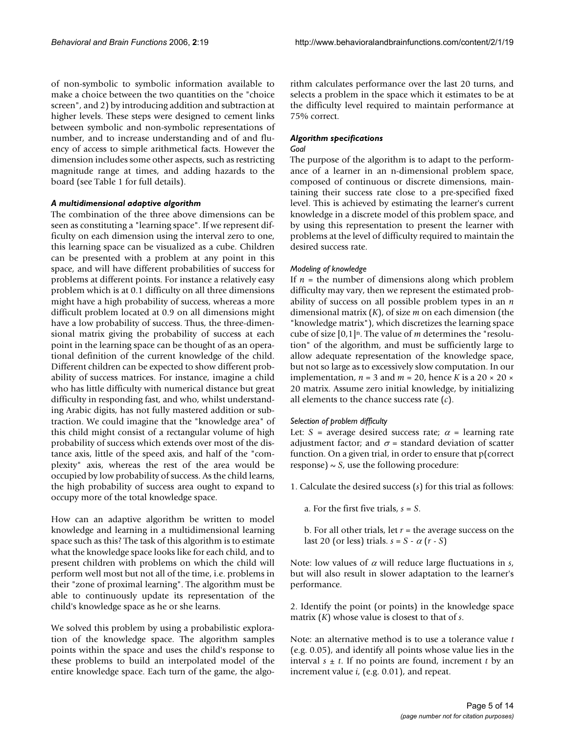of non-symbolic to symbolic information available to make a choice between the two quantities on the "choice screen", and 2) by introducing addition and subtraction at higher levels. These steps were designed to cement links between symbolic and non-symbolic representations of number, and to increase understanding and of and fluency of access to simple arithmetical facts. However the dimension includes some other aspects, such as restricting magnitude range at times, and adding hazards to the board (see Table 1 for full details).

## *A multidimensional adaptive algorithm*

The combination of the three above dimensions can be seen as constituting a "learning space". If we represent difficulty on each dimension using the interval zero to one, this learning space can be visualized as a cube. Children can be presented with a problem at any point in this space, and will have different probabilities of success for problems at different points. For instance a relatively easy problem which is at 0.1 difficulty on all three dimensions might have a high probability of success, whereas a more difficult problem located at 0.9 on all dimensions might have a low probability of success. Thus, the three-dimensional matrix giving the probability of success at each point in the learning space can be thought of as an operational definition of the current knowledge of the child. Different children can be expected to show different probability of success matrices. For instance, imagine a child who has little difficulty with numerical distance but great difficulty in responding fast, and who, whilst understanding Arabic digits, has not fully mastered addition or subtraction. We could imagine that the "knowledge area" of this child might consist of a rectangular volume of high probability of success which extends over most of the distance axis, little of the speed axis, and half of the "complexity" axis, whereas the rest of the area would be occupied by low probability of success. As the child learns, the high probability of success area ought to expand to occupy more of the total knowledge space.

How can an adaptive algorithm be written to model knowledge and learning in a multidimensional learning space such as this? The task of this algorithm is to estimate what the knowledge space looks like for each child, and to present children with problems on which the child will perform well most but not all of the time, i.e. problems in their "zone of proximal learning". The algorithm must be able to continuously update its representation of the child's knowledge space as he or she learns.

We solved this problem by using a probabilistic exploration of the knowledge space. The algorithm samples points within the space and uses the child's response to these problems to build an interpolated model of the entire knowledge space. Each turn of the game, the algorithm calculates performance over the last 20 turns, and selects a problem in the space which it estimates to be at the difficulty level required to maintain performance at 75% correct.

# *Algorithm specifications*

# *Goal*

The purpose of the algorithm is to adapt to the performance of a learner in an n-dimensional problem space, composed of continuous or discrete dimensions, maintaining their success rate close to a pre-specified fixed level. This is achieved by estimating the learner's current knowledge in a discrete model of this problem space, and by using this representation to present the learner with problems at the level of difficulty required to maintain the desired success rate.

## *Modeling of knowledge*

If  $n =$  the number of dimensions along which problem difficulty may vary, then we represent the estimated probability of success on all possible problem types in an *n* dimensional matrix (*K*), of size *m* on each dimension (the "knowledge matrix"), which discretizes the learning space cube of size [0,1]n. The value of *m* determines the "resolution" of the algorithm, and must be sufficiently large to allow adequate representation of the knowledge space, but not so large as to excessively slow computation. In our implementation,  $n = 3$  and  $m = 20$ , hence *K* is a  $20 \times 20 \times$ 20 matrix. Assume zero initial knowledge, by initializing all elements to the chance success rate (*c*).

# *Selection of problem difficulty*

Let:  $S =$  average desired success rate;  $\alpha =$  learning rate adjustment factor; and  $\sigma$  = standard deviation of scatter function. On a given trial, in order to ensure that p(correct response)  $\sim S$ , use the following procedure:

- 1. Calculate the desired success (*s*) for this trial as follows:
	- a. For the first five trials, *s = S*.
	- b. For all other trials, let  $r =$  the average success on the last 20 (or less) trials.  $s = S - \alpha (r - S)$

Note: low values of <sup>α</sup> will reduce large fluctuations in *s*, but will also result in slower adaptation to the learner's performance.

2. Identify the point (or points) in the knowledge space matrix (*K*) whose value is closest to that of *s*.

Note: an alternative method is to use a tolerance value *t* (e.g. 0.05), and identify all points whose value lies in the interval  $s \pm t$ . If no points are found, increment *t* by an increment value *i*, (e.g. 0.01), and repeat.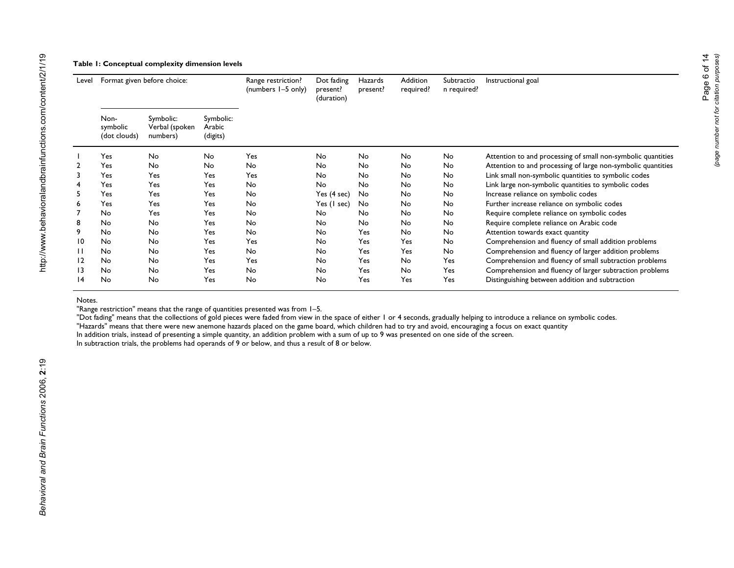| Level          | Format given before choice:      |                                         |                                 | Range restriction?<br>(numbers 1-5 only) | Dot fading<br>present?<br>(duration) | Hazards<br>present? | <b>Addition</b><br>required? | Subtractio<br>n required? | Instructional goal                                           |
|----------------|----------------------------------|-----------------------------------------|---------------------------------|------------------------------------------|--------------------------------------|---------------------|------------------------------|---------------------------|--------------------------------------------------------------|
|                | Non-<br>symbolic<br>(dot clouds) | Symbolic:<br>Verbal (spoken<br>numbers) | Symbolic:<br>Arabic<br>(digits) |                                          |                                      |                     |                              |                           |                                                              |
|                | Yes                              | No                                      | No                              | Yes                                      | No                                   | No                  | No                           | No                        | Attention to and processing of small non-symbolic quantities |
| $\overline{2}$ | Yes                              | No                                      | No                              | No                                       | No                                   | No                  | No                           | No                        | Attention to and processing of large non-symbolic quantities |
| 3              | Yes                              | Yes                                     | Yes                             | Yes                                      | No                                   | No                  | No                           | No                        | Link small non-symbolic quantities to symbolic codes         |
| 4              | Yes                              | Yes                                     | Yes                             | No                                       | No                                   | No                  | No                           | No                        | Link large non-symbolic quantities to symbolic codes         |
| 5              | Yes                              | Yes                                     | Yes                             | No                                       | Yes $(4 sec)$                        | No                  | No                           | No                        | Increase reliance on symbolic codes                          |
| 6              | Yes                              | Yes                                     | Yes                             | No                                       | Yes (I sec)                          | No                  | No                           | No                        | Further increase reliance on symbolic codes                  |
| 7              | No                               | Yes                                     | Yes                             | No                                       | No                                   | No                  | No                           | No                        | Require complete reliance on symbolic codes                  |
| 8              | No                               | No                                      | Yes                             | No                                       | No                                   | No                  | No                           | No                        | Require complete reliance on Arabic code                     |
| 9              | No                               | No                                      | Yes                             | No                                       | No                                   | Yes                 | No                           | No                        | Attention towards exact quantity                             |
| 10             | No                               | No                                      | Yes                             | Yes                                      | No                                   | Yes                 | Yes                          | No                        | Comprehension and fluency of small addition problems         |
| $\mathbf{H}$   | No                               | No                                      | Yes                             | No                                       | No                                   | Yes                 | Yes                          | No                        | Comprehension and fluency of larger addition problems        |
| 12             | No                               | No                                      | Yes                             | Yes                                      | No                                   | Yes                 | No                           | Yes                       | Comprehension and fluency of small subtraction problems      |
| 13             | No                               | No                                      | Yes                             | No                                       | No                                   | Yes                 | No                           | Yes                       | Comprehension and fluency of larger subtraction problems     |
| 14             | No                               | No                                      | Yes                             | No                                       | No                                   | Yes                 | Yes                          | Yes                       | Distinguishing between addition and subtraction              |

#### Notes.

"Range restriction" means that the range of quantities presented was from 1–5.

"Dot fading" means that the collections of gold pieces were faded from view in the space of either 1 or 4 seconds, gradually helping to introduce a reliance on symbolic codes. "Hazards" means that there were new anemone hazards placed on the game board, which children had to try and avoid, encouraging a focus on exact quantity In addition trials, instead of presenting a simple quantity, an addition problem with a sum of up to 9 was presented on one side of the screen.

In subtraction trials, the problems had operands of 9 or below, and thus a result of 8 or below.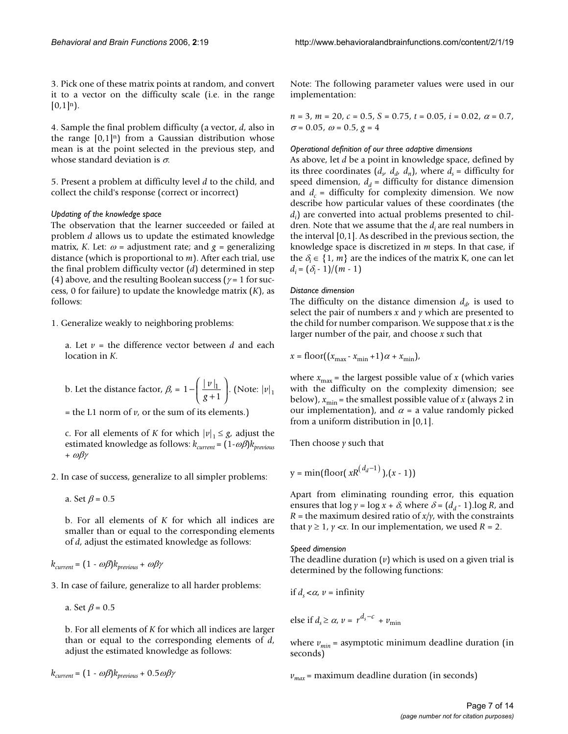3. Pick one of these matrix points at random, and convert it to a vector on the difficulty scale (i.e. in the range  $[0,1]$ <sup>n</sup>).

4. Sample the final problem difficulty (a vector, *d*, also in the range  $[0,1]$ <sup>n</sup>) from a Gaussian distribution whose mean is at the point selected in the previous step, and whose standard deviation is  $\sigma$ .

5. Present a problem at difficulty level *d* to the child, and collect the child's response (correct or incorrect)

# *Updating of the knowledge space*

The observation that the learner succeeded or failed at problem *d* allows us to update the estimated knowledge matrix, *K*. Let:  $\omega$  = adjustment rate; and  $g$  = generalizing distance (which is proportional to *m*). After each trial, use the final problem difficulty vector (*d*) determined in step (4) above, and the resulting Boolean success ( $\gamma$  = 1 for success, 0 for failure) to update the knowledge matrix (*K*), as follows:

1. Generalize weakly to neighboring problems:

a. Let *v* = the difference vector between *d* and each location in *K*.

b. Let the distance factor, 
$$
\beta_i = 1 - \left(\frac{|v|_1}{g+1}\right)
$$
. (Note:  $|v|_1$ 

 $=$  the L1 norm of  $v$ , or the sum of its elements.)

c. For all elements of *K* for which  $|v|_1 \leq g$ , adjust the estimated knowledge as follows: *kcurrent* = (1-ωβ)*kprevious*  $+ \omega \beta \gamma$ 

2. In case of success, generalize to all simpler problems:

a. Set 
$$
\beta
$$
 = 0.5

b. For all elements of *K* for which all indices are smaller than or equal to the corresponding elements of *d*, adjust the estimated knowledge as follows:

$$
k_{current} = (1 - \omega\beta)k_{previous} + \omega\beta\gamma
$$

3. In case of failure, generalize to all harder problems:

a. Set 
$$
\beta
$$
 = 0.5

b. For all elements of *K* for which all indices are larger than or equal to the corresponding elements of *d*, adjust the estimated knowledge as follows:

$$
k_{current} = (1 - \omega\beta)k_{previous} + 0.5\omega\beta\gamma
$$

Note: The following parameter values were used in our implementation:

$$
n = 3, m = 20, c = 0.5, S = 0.75, t = 0.05, i = 0.02, \alpha = 0.7, \sigma = 0.05, \omega = 0.5, g = 4
$$

# *Operational definition of our three adaptive dimensions*

As above, let *d* be a point in knowledge space, defined by its three coordinates  $(d_s, d_d, d_n)$ , where  $d_s$  = difficulty for speed dimension,  $d_d$  = difficulty for distance dimension and  $d_c$  = difficulty for complexity dimension. We now describe how particular values of these coordinates (the *di* ) are converted into actual problems presented to children. Note that we assume that the *di* are real numbers in the interval [0,1]. As described in the previous section, the knowledge space is discretized in *m* steps. In that case, if the  $\delta_i \in \{1, m\}$  are the indices of the matrix K, one can let  $d_i = (\delta_i - 1)/(m - 1)$ 

# *Distance dimension*

The difficulty on the distance dimension  $d_{d'}$  is used to select the pair of numbers *x* and *y* which are presented to the child for number comparison. We suppose that *x* is the larger number of the pair, and choose *x* such that

$$
x = \text{floor}((x_{\text{max}} - x_{\text{min}} + 1)\alpha + x_{\text{min}}),
$$

where  $x_{\text{max}}$  = the largest possible value of x (which varies with the difficulty on the complexity dimension; see below),  $x_{\min}$  = the smallest possible value of x (always 2 in our implementation), and  $\alpha$  = a value randomly picked from a uniform distribution in [0,1].

Then choose  $y$  such that

$$
y = min(floor(xR^{(d_d-1)}))(x-1))
$$

Apart from eliminating rounding error, this equation ensures that  $\log y = \log x + \delta$ , where  $\delta = (d_d - 1) \log R$ , and  $R =$  the maximum desired ratio of  $x/y$ , with the constraints that  $y \ge 1$ ,  $y \le x$ . In our implementation, we used  $R = 2$ .

# *Speed dimension*

The deadline duration (*v*) which is used on a given trial is determined by the following functions:

$$
\text{if } d_s < \alpha, \, v = \text{infinity}
$$

else if 
$$
d_s \ge \alpha
$$
,  $v = r^{d_s-c} + v_{\text{min}}$ 

where  $v_{min}$  = asymptotic minimum deadline duration (in seconds)

 $v_{max}$  = maximum deadline duration (in seconds)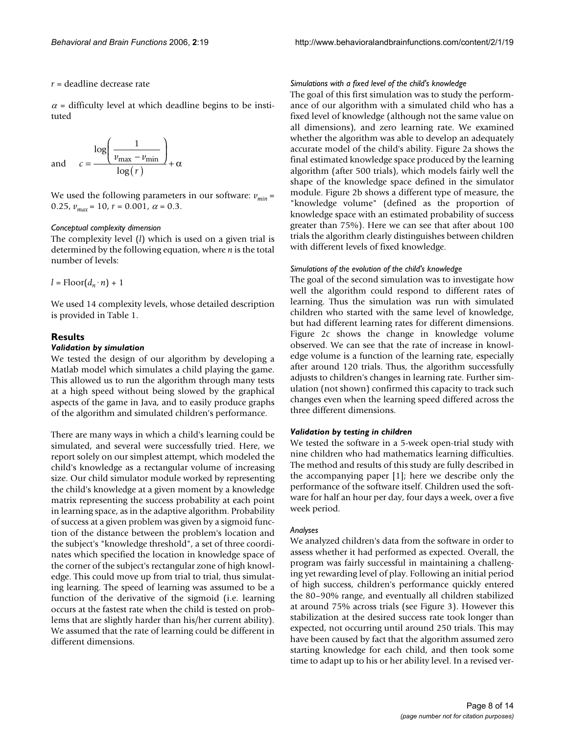*r* = deadline decrease rate

 $\alpha$  = difficulty level at which deadline begins to be instituted

and 
$$
c = \frac{\log\left(\frac{1}{v_{\text{max}} - v_{\text{min}}}\right)}{\log(r)} + \alpha
$$

We used the following parameters in our software:  $v_{min}$  = 0.25,  $v_{max} = 10$ ,  $r = 0.001$ ,  $\alpha = 0.3$ .

## *Conceptual complexity dimension*

The complexity level (*l*) which is used on a given trial is determined by the following equation, where *n* is the total number of levels:

$$
l = \text{floor}(d_n \cdot n) + 1
$$

We used 14 complexity levels, whose detailed description is provided in Table 1.

# **Results**

#### *Validation by simulation*

We tested the design of our algorithm by developing a Matlab model which simulates a child playing the game. This allowed us to run the algorithm through many tests at a high speed without being slowed by the graphical aspects of the game in Java, and to easily produce graphs of the algorithm and simulated children's performance.

There are many ways in which a child's learning could be simulated, and several were successfully tried. Here, we report solely on our simplest attempt, which modeled the child's knowledge as a rectangular volume of increasing size. Our child simulator module worked by representing the child's knowledge at a given moment by a knowledge matrix representing the success probability at each point in learning space, as in the adaptive algorithm. Probability of success at a given problem was given by a sigmoid function of the distance between the problem's location and the subject's "knowledge threshold", a set of three coordinates which specified the location in knowledge space of the corner of the subject's rectangular zone of high knowledge. This could move up from trial to trial, thus simulating learning. The speed of learning was assumed to be a function of the derivative of the sigmoid (i.e. learning occurs at the fastest rate when the child is tested on problems that are slightly harder than his/her current ability). We assumed that the rate of learning could be different in different dimensions.

#### *Simulations with a fixed level of the child's knowledge*

The goal of this first simulation was to study the performance of our algorithm with a simulated child who has a fixed level of knowledge (although not the same value on all dimensions), and zero learning rate. We examined whether the algorithm was able to develop an adequately accurate model of the child's ability. Figure 2a shows the final estimated knowledge space produced by the learning algorithm (after 500 trials), which models fairly well the shape of the knowledge space defined in the simulator module. Figure 2b shows a different type of measure, the "knowledge volume" (defined as the proportion of knowledge space with an estimated probability of success greater than 75%). Here we can see that after about 100 trials the algorithm clearly distinguishes between children with different levels of fixed knowledge.

## *Simulations of the evolution of the child's knowledge*

The goal of the second simulation was to investigate how well the algorithm could respond to different rates of learning. Thus the simulation was run with simulated children who started with the same level of knowledge, but had different learning rates for different dimensions. Figure 2c shows the change in knowledge volume observed. We can see that the rate of increase in knowledge volume is a function of the learning rate, especially after around 120 trials. Thus, the algorithm successfully adjusts to children's changes in learning rate. Further simulation (not shown) confirmed this capacity to track such changes even when the learning speed differed across the three different dimensions.

#### *Validation by testing in children*

We tested the software in a 5-week open-trial study with nine children who had mathematics learning difficulties. The method and results of this study are fully described in the accompanying paper [1]; here we describe only the performance of the software itself. Children used the software for half an hour per day, four days a week, over a five week period.

#### *Analyses*

We analyzed children's data from the software in order to assess whether it had performed as expected. Overall, the program was fairly successful in maintaining a challenging yet rewarding level of play. Following an initial period of high success, children's performance quickly entered the 80–90% range, and eventually all children stabilized at around 75% across trials (see Figure 3). However this stabilization at the desired success rate took longer than expected, not occurring until around 250 trials. This may have been caused by fact that the algorithm assumed zero starting knowledge for each child, and then took some time to adapt up to his or her ability level. In a revised ver-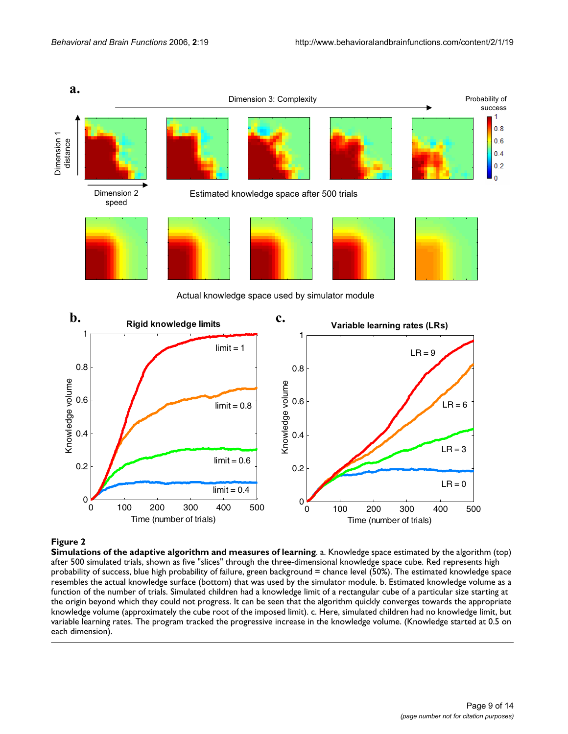

Actual knowledge space used by simulator module



# **Figure 2**

**Simulations of the adaptive algorithm and measures of learning**. a. Knowledge space estimated by the algorithm (top) after 500 simulated trials, shown as five "slices" through the three-dimensional knowledge space cube. Red represents high probability of success, blue high probability of failure, green background = chance level (50%). The estimated knowledge space resembles the actual knowledge surface (bottom) that was used by the simulator module. b. Estimated knowledge volume as a function of the number of trials. Simulated children had a knowledge limit of a rectangular cube of a particular size starting at the origin beyond which they could not progress. It can be seen that the algorithm quickly converges towards the appropriate knowledge volume (approximately the cube root of the imposed limit). c. Here, simulated children had no knowledge limit, but variable learning rates. The program tracked the progressive increase in the knowledge volume. (Knowledge started at 0.5 on each dimension).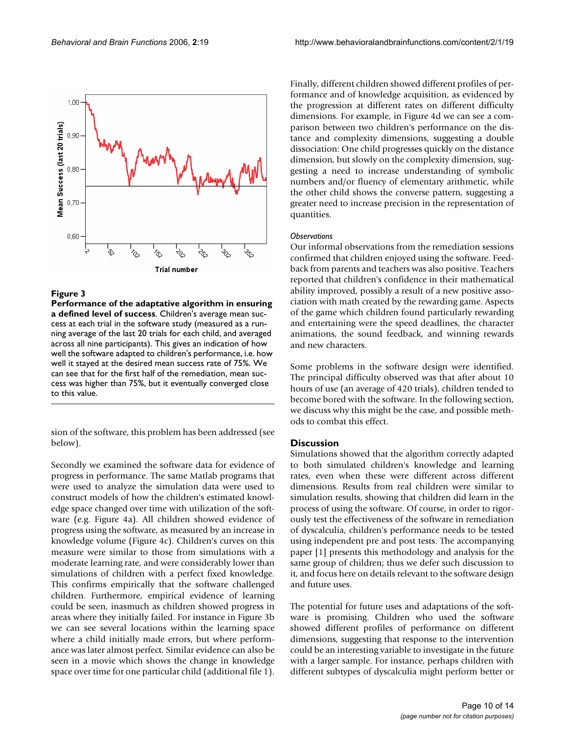

#### **Figure 3**

**Performance of the adaptative algorithm in ensuring a defined level of success**. Children's average mean success at each trial in the software study (measured as a running average of the last 20 trials for each child, and averaged across all nine participants). This gives an indication of how well the software adapted to children's performance, i.e. how well it stayed at the desired mean success rate of 75%. We can see that for the first half of the remediation, mean success was higher than 75%, but it eventually converged close to this value.

sion of the software, this problem has been addressed (see below).

Secondly we examined the software data for evidence of progress in performance. The same Matlab programs that were used to analyze the simulation data were used to construct models of how the children's estimated knowledge space changed over time with utilization of the software (e.g. Figure 4a). All children showed evidence of progress using the software, as measured by an increase in knowledge volume (Figure 4c). Children's curves on this measure were similar to those from simulations with a moderate learning rate, and were considerably lower than simulations of children with a perfect fixed knowledge. This confirms empirically that the software challenged children. Furthermore, empirical evidence of learning could be seen, inasmuch as children showed progress in areas where they initially failed. For instance in Figure 3b we can see several locations within the learning space where a child initially made errors, but where performance was later almost perfect. Similar evidence can also be seen in a movie which shows the change in knowledge space over time for one particular child (additional file 1).

Finally, different children showed different profiles of performance and of knowledge acquisition, as evidenced by the progression at different rates on different difficulty dimensions. For example, in Figure 4d we can see a comparison between two children's performance on the distance and complexity dimensions, suggesting a double dissociation: One child progresses quickly on the distance dimension, but slowly on the complexity dimension, suggesting a need to increase understanding of symbolic numbers and/or fluency of elementary arithmetic, while the other child shows the converse pattern, suggesting a greater need to increase precision in the representation of quantities.

## *Observations*

Our informal observations from the remediation sessions confirmed that children enjoyed using the software. Feedback from parents and teachers was also positive. Teachers reported that children's confidence in their mathematical ability improved, possibly a result of a new positive association with math created by the rewarding game. Aspects of the game which children found particularly rewarding and entertaining were the speed deadlines, the character animations, the sound feedback, and winning rewards and new characters.

Some problems in the software design were identified. The principal difficulty observed was that after about 10 hours of use (an average of 420 trials), children tended to become bored with the software. In the following section, we discuss why this might be the case, and possible methods to combat this effect.

#### **Discussion**

Simulations showed that the algorithm correctly adapted to both simulated children's knowledge and learning rates, even when these were different across different dimensions. Results from real children were similar to simulation results, showing that children did learn in the process of using the software. Of course, in order to rigorously test the effectiveness of the software in remediation of dyscalculia, children's performance needs to be tested using independent pre and post tests. The accompanying paper [1] presents this methodology and analysis for the same group of children; thus we defer such discussion to it, and focus here on details relevant to the software design and future uses.

The potential for future uses and adaptations of the software is promising. Children who used the software showed different profiles of performance on different dimensions, suggesting that response to the intervention could be an interesting variable to investigate in the future with a larger sample. For instance, perhaps children with different subtypes of dyscalculia might perform better or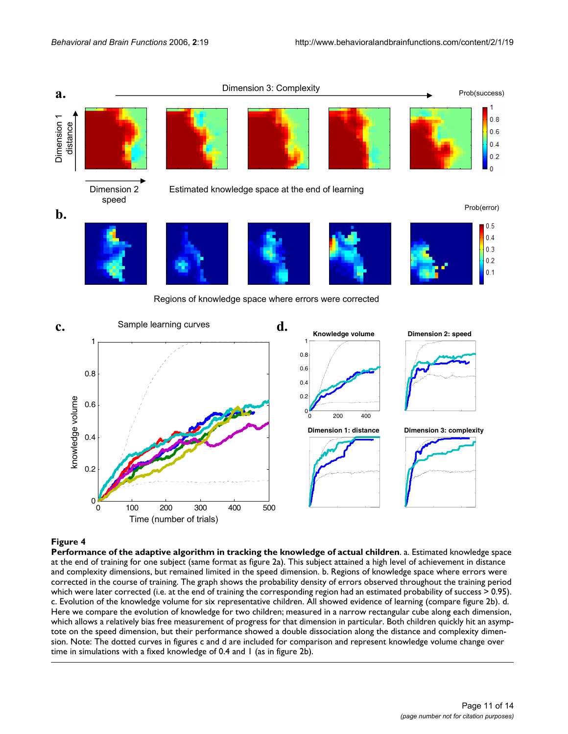

Regions of knowledge space where errors were corrected



# Performance algorithm in the adaptive algorithm in the knowledge of actual children the knowledge of actual children the knowledge of actual children the knowledge of actual children the knowledge of actual children the kn

**Performance of the adaptive algorithm in tracking the knowledge of actual children**. a. Estimated knowledge space at the end of training for one subject (same format as figure 2a). This subject attained a high level of achievement in distance and complexity dimensions, but remained limited in the speed dimension. b. Regions of knowledge space where errors were corrected in the course of training. The graph shows the probability density of errors observed throughout the training period which were later corrected (i.e. at the end of training the corresponding region had an estimated probability of success > 0.95). c. Evolution of the knowledge volume for six representative children. All showed evidence of learning (compare figure 2b). d. Here we compare the evolution of knowledge for two children; measured in a narrow rectangular cube along each dimension, which allows a relatively bias free measurement of progress for that dimension in particular. Both children quickly hit an asymptote on the speed dimension, but their performance showed a double dissociation along the distance and complexity dimension. Note: The dotted curves in figures c and d are included for comparison and represent knowledge volume change over time in simulations with a fixed knowledge of 0.4 and 1 (as in figure 2b).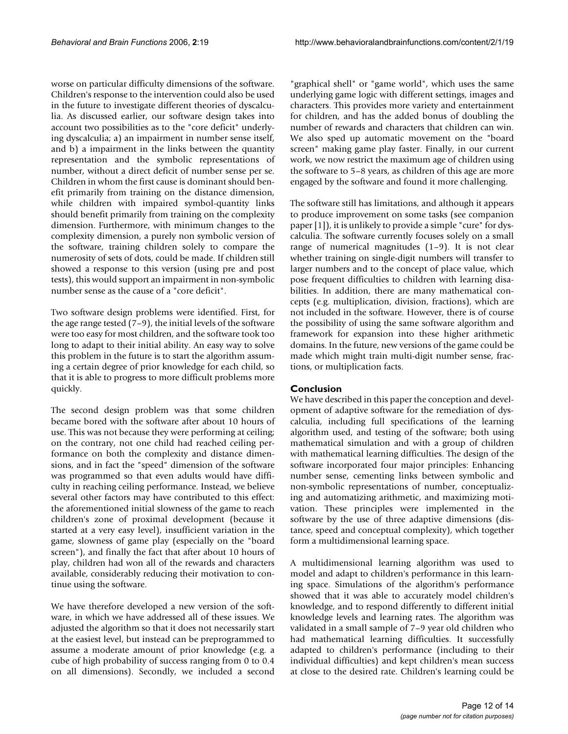worse on particular difficulty dimensions of the software. Children's response to the intervention could also be used in the future to investigate different theories of dyscalculia. As discussed earlier, our software design takes into account two possibilities as to the "core deficit" underlying dyscalculia; a) an impairment in number sense itself, and b) a impairment in the links between the quantity representation and the symbolic representations of number, without a direct deficit of number sense per se. Children in whom the first cause is dominant should benefit primarily from training on the distance dimension, while children with impaired symbol-quantity links should benefit primarily from training on the complexity dimension. Furthermore, with minimum changes to the complexity dimension, a purely non symbolic version of the software, training children solely to compare the numerosity of sets of dots, could be made. If children still showed a response to this version (using pre and post tests), this would support an impairment in non-symbolic number sense as the cause of a "core deficit".

Two software design problems were identified. First, for the age range tested (7–9), the initial levels of the software were too easy for most children, and the software took too long to adapt to their initial ability. An easy way to solve this problem in the future is to start the algorithm assuming a certain degree of prior knowledge for each child, so that it is able to progress to more difficult problems more quickly.

The second design problem was that some children became bored with the software after about 10 hours of use. This was not because they were performing at ceiling; on the contrary, not one child had reached ceiling performance on both the complexity and distance dimensions, and in fact the "speed" dimension of the software was programmed so that even adults would have difficulty in reaching ceiling performance. Instead, we believe several other factors may have contributed to this effect: the aforementioned initial slowness of the game to reach children's zone of proximal development (because it started at a very easy level), insufficient variation in the game, slowness of game play (especially on the "board screen"), and finally the fact that after about 10 hours of play, children had won all of the rewards and characters available, considerably reducing their motivation to continue using the software.

We have therefore developed a new version of the software, in which we have addressed all of these issues. We adjusted the algorithm so that it does not necessarily start at the easiest level, but instead can be preprogrammed to assume a moderate amount of prior knowledge (e.g. a cube of high probability of success ranging from 0 to 0.4 on all dimensions). Secondly, we included a second

"graphical shell" or "game world", which uses the same underlying game logic with different settings, images and characters. This provides more variety and entertainment for children, and has the added bonus of doubling the number of rewards and characters that children can win. We also sped up automatic movement on the "board screen" making game play faster. Finally, in our current work, we now restrict the maximum age of children using the software to 5–8 years, as children of this age are more engaged by the software and found it more challenging.

The software still has limitations, and although it appears to produce improvement on some tasks (see companion paper [1]), it is unlikely to provide a simple "cure" for dyscalculia. The software currently focuses solely on a small range of numerical magnitudes (1–9). It is not clear whether training on single-digit numbers will transfer to larger numbers and to the concept of place value, which pose frequent difficulties to children with learning disabilities. In addition, there are many mathematical concepts (e.g. multiplication, division, fractions), which are not included in the software. However, there is of course the possibility of using the same software algorithm and framework for expansion into these higher arithmetic domains. In the future, new versions of the game could be made which might train multi-digit number sense, fractions, or multiplication facts.

# **Conclusion**

We have described in this paper the conception and development of adaptive software for the remediation of dyscalculia, including full specifications of the learning algorithm used, and testing of the software; both using mathematical simulation and with a group of children with mathematical learning difficulties. The design of the software incorporated four major principles: Enhancing number sense, cementing links between symbolic and non-symbolic representations of number, conceptualizing and automatizing arithmetic, and maximizing motivation. These principles were implemented in the software by the use of three adaptive dimensions (distance, speed and conceptual complexity), which together form a multidimensional learning space.

A multidimensional learning algorithm was used to model and adapt to children's performance in this learning space. Simulations of the algorithm's performance showed that it was able to accurately model children's knowledge, and to respond differently to different initial knowledge levels and learning rates. The algorithm was validated in a small sample of 7–9 year old children who had mathematical learning difficulties. It successfully adapted to children's performance (including to their individual difficulties) and kept children's mean success at close to the desired rate. Children's learning could be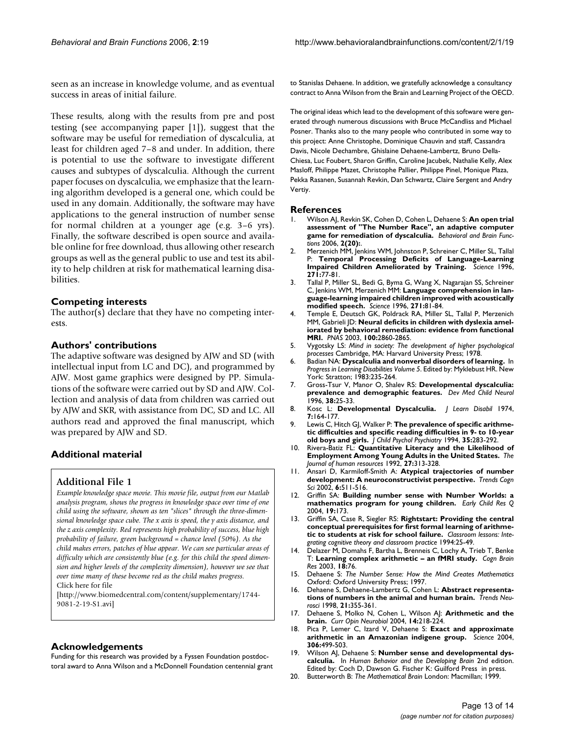seen as an increase in knowledge volume, and as eventual success in areas of initial failure.

These results, along with the results from pre and post testing (see accompanying paper [1]), suggest that the software may be useful for remediation of dyscalculia, at least for children aged 7–8 and under. In addition, there is potential to use the software to investigate different causes and subtypes of dyscalculia. Although the current paper focuses on dyscalculia, we emphasize that the learning algorithm developed is a general one, which could be used in any domain. Additionally, the software may have applications to the general instruction of number sense for normal children at a younger age (e.g. 3–6 yrs). Finally, the software described is open source and available online for free download, thus allowing other research groups as well as the general public to use and test its ability to help children at risk for mathematical learning disabilities.

#### **Competing interests**

The author(s) declare that they have no competing interests.

## **Authors' contributions**

The adaptive software was designed by AJW and SD (with intellectual input from LC and DC), and programmed by AJW. Most game graphics were designed by PP. Simulations of the software were carried out by SD and AJW. Collection and analysis of data from children was carried out by AJW and SKR, with assistance from DC, SD and LC. All authors read and approved the final manuscript, which was prepared by AJW and SD.

# **Additional material**

#### **Additional File 1**

*Example knowledge space movie. This movie file, output from our Matlab analysis program, shows the progress in knowledge space over time of one child using the software, shown as ten "slices" through the three-dimensional knowledge space cube. The x axis is speed, the y axis distance, and the z axis complexity. Red represents high probability of success, blue high probability of failure, green background = chance level (50%). As the child makes errors, patches of blue appear. We can see particular areas of difficulty which are consistently blue (e.g. for this child the speed dimension and higher levels of the complexity dimension), however we see that over time many of these become red as the child makes progress.* Click here for file

[\[http://www.biomedcentral.com/content/supplementary/1744-](http://www.biomedcentral.com/content/supplementary/1744-9081-2-19-S1.avi) 9081-2-19-S1.avi]

#### **Acknowledgements**

Funding for this research was provided by a Fyssen Foundation postdoctoral award to Anna Wilson and a McDonnell Foundation centennial grant to Stanislas Dehaene. In addition, we gratefully acknowledge a consultancy contract to Anna Wilson from the Brain and Learning Project of the OECD.

The original ideas which lead to the development of this software were generated through numerous discussions with Bruce McCandliss and Michael Posner. Thanks also to the many people who contributed in some way to this project: Anne Christophe, Dominique Chauvin and staff, Cassandra Davis, Nicole Dechambre, Ghislaine Dehaene-Lambertz, Bruno Della-Chiesa, Luc Foubert, Sharon Griffin, Caroline Jacubek, Nathalie Kelly, Alex Masloff, Philippe Mazet, Christophe Pallier, Philippe Pinel, Monique Plaza, Pekka Rasanen, Susannah Revkin, Dan Schwartz, Claire Sergent and Andry Vertiy.

#### **References**

- 1. Wilson AJ, Revkin SK, Cohen D, Cohen L, Dehaene S: **An open trial assessment of "The Number Race", an adaptive computer game for remediation of dyscalculia.** *Behavioral and Brain Functions* 2006, **2(20):**.
- 2. Merzenich MM, Jenkins WM, Johnston P, Schreiner C, Miller SL, Tallal P: **[Temporal Processing Deficits of Language-Learning](http://www.ncbi.nlm.nih.gov/entrez/query.fcgi?cmd=Retrieve&db=PubMed&dopt=Abstract&list_uids=8539603) [Impaired Children Ameliorated by Training.](http://www.ncbi.nlm.nih.gov/entrez/query.fcgi?cmd=Retrieve&db=PubMed&dopt=Abstract&list_uids=8539603)** *Science* 1996, **271:**77-81.
- 3. Tallal P, Miller SL, Bedi G, Byma G, Wang X, Nagarajan SS, Schreiner C, Jenkins WM, Merzenich MM: **[Language comprehension in lan](http://www.ncbi.nlm.nih.gov/entrez/query.fcgi?cmd=Retrieve&db=PubMed&dopt=Abstract&list_uids=8539604)[guage-learning impaired children improved with acoustically](http://www.ncbi.nlm.nih.gov/entrez/query.fcgi?cmd=Retrieve&db=PubMed&dopt=Abstract&list_uids=8539604) [modified speech.](http://www.ncbi.nlm.nih.gov/entrez/query.fcgi?cmd=Retrieve&db=PubMed&dopt=Abstract&list_uids=8539604)** *Science* 1996, **271:**81-84.
- 4. Temple E, Deutsch GK, Poldrack RA, Miller SL, Tallal P, Merzenich MM, Gabrieli JD: **[Neural deficits in children with dyslexia amel](http://www.ncbi.nlm.nih.gov/entrez/query.fcgi?cmd=Retrieve&db=PubMed&dopt=Abstract&list_uids=12604786)[iorated by behavioral remediation: evidence from functional](http://www.ncbi.nlm.nih.gov/entrez/query.fcgi?cmd=Retrieve&db=PubMed&dopt=Abstract&list_uids=12604786) [MRI.](http://www.ncbi.nlm.nih.gov/entrez/query.fcgi?cmd=Retrieve&db=PubMed&dopt=Abstract&list_uids=12604786)** *PNAS* 2003, **100:**2860-2865.
- 5. Vygotsky LS: *Mind in society: The development of higher psychological processes* Cambridge, MA: Harvard University Press; 1978.
- 6. Badian NA: **Dyscalculia and nonverbal disorders of learning.** In *Progress in Learning Disabilities Volume 5*. Edited by: Myklebust HR. New York: Stratton; 1983:235-264.
- 7. Gross-Tsur V, Manor O, Shalev RS: **[Developmental dyscalculia:](http://www.ncbi.nlm.nih.gov/entrez/query.fcgi?cmd=Retrieve&db=PubMed&dopt=Abstract&list_uids=8606013) [prevalence and demographic features.](http://www.ncbi.nlm.nih.gov/entrez/query.fcgi?cmd=Retrieve&db=PubMed&dopt=Abstract&list_uids=8606013)** *Dev Med Child Neurol* 1996, **38:**25-33.
- 8. Kosc L: **Developmental Dyscalculia.** *J Learn Disabil* 1974, **7:**164-177.
- 9. Lewis C, Hitch GJ, Walker P: **[The prevalence of specific arithme](http://www.ncbi.nlm.nih.gov/entrez/query.fcgi?cmd=Retrieve&db=PubMed&dopt=Abstract&list_uids=8188799)[tic difficulties and specific reading difficulties in 9- to 10-year](http://www.ncbi.nlm.nih.gov/entrez/query.fcgi?cmd=Retrieve&db=PubMed&dopt=Abstract&list_uids=8188799) [old boys and girls.](http://www.ncbi.nlm.nih.gov/entrez/query.fcgi?cmd=Retrieve&db=PubMed&dopt=Abstract&list_uids=8188799)** *J Child Psychol Psychiatry* 1994, **35:**283-292.
- 10. Rivera-Batiz FL: **Quantitative Literacy and the Likelihood of Employment Among Young Adults in the United States.** *The Journal of human resources* 1992, **27:**313-328.
- 11. Ansari D, Karmiloff-Smith A: **[Atypical trajectories of number](http://www.ncbi.nlm.nih.gov/entrez/query.fcgi?cmd=Retrieve&db=PubMed&dopt=Abstract&list_uids=12475711) [development: A neuroconstructivist perspective.](http://www.ncbi.nlm.nih.gov/entrez/query.fcgi?cmd=Retrieve&db=PubMed&dopt=Abstract&list_uids=12475711)** *Trends Cogn Sci* 2002, **6:**511-516.
- 12. Griffin SA: **Building number sense with Number Worlds: a mathematics program for young children.** *Early Child Res Q* 2004, **19:**173.
- 13. Griffin SA, Case R, Siegler RS: **Rightstart: Providing the central conceptual prerequisites for first formal learning of arithmetic to students at risk for school failure.** *Classroom lessons: Integrating cognitive theory and classroom practice* 1994:25-49.
- 14. Delazer M, Domahs F, Bartha L, Brenneis C, Lochy A, Trieb T, Benke T: **Learning complex arithmetic – an fMRI study.** *Cogn Brain Res* 2003, **18:**76.
- 15. Dehaene S: *The Number Sense: How the Mind Creates Mathematics* Oxford: Oxford University Press; 1997.
- 16. Dehaene S, Dehaene-Lambertz G, Cohen L: **[Abstract representa](http://www.ncbi.nlm.nih.gov/entrez/query.fcgi?cmd=Retrieve&db=PubMed&dopt=Abstract&list_uids=9720604)[tions of numbers in the animal and human brain.](http://www.ncbi.nlm.nih.gov/entrez/query.fcgi?cmd=Retrieve&db=PubMed&dopt=Abstract&list_uids=9720604)** *Trends Neurosci* 1998, **21:**355-361.
- 17. Dehaene S, Molko N, Cohen L, Wilson AJ: **[Arithmetic and the](http://www.ncbi.nlm.nih.gov/entrez/query.fcgi?cmd=Retrieve&db=PubMed&dopt=Abstract&list_uids=15082328) [brain.](http://www.ncbi.nlm.nih.gov/entrez/query.fcgi?cmd=Retrieve&db=PubMed&dopt=Abstract&list_uids=15082328)** *Curr Opin Neurobiol* 2004, **14:**218-224.
- 18. Pica P, Lemer C, Izard V, Dehaene S: **[Exact and approximate](http://www.ncbi.nlm.nih.gov/entrez/query.fcgi?cmd=Retrieve&db=PubMed&dopt=Abstract&list_uids=15486303) [arithmetic in an Amazonian indigene group.](http://www.ncbi.nlm.nih.gov/entrez/query.fcgi?cmd=Retrieve&db=PubMed&dopt=Abstract&list_uids=15486303)** *Science* 2004, **306:**499-503.
- 19. Wilson AJ, Dehaene S: **Number sense and developmental dyscalculia.** In *Human Behavior and the Developing Brain* 2nd edition. Edited by: Coch D, Dawson G. Fischer K: Guilford Press in press.
- 20. Butterworth B: *The Mathematical Brain* London: Macmillan; 1999.